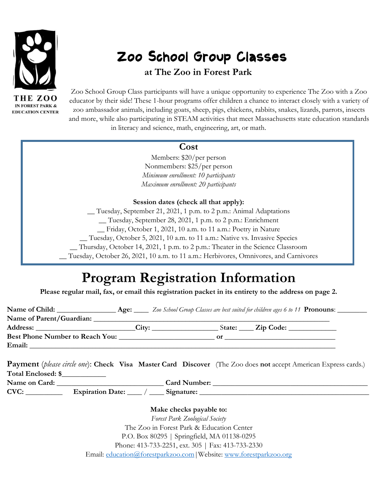

HE ZOO **IN FOREST PARK & EDUCATION CENTER** 

# Zoo School Group Classes

**at The Zoo in Forest Park**

Zoo School Group Class participants will have a unique opportunity to experience The Zoo with a Zoo educator by their side! These 1-hour programs offer children a chance to interact closely with a variety of zoo ambassador animals, including goats, sheep, pigs, chickens, rabbits, snakes, lizards, parrots, insects and more, while also participating in STEAM activities that meet Massachusetts state education standards in literacy and science, math, engineering, art, or math.

### **Cost**

Members: \$20/per person Nonmembers: \$25/per person *Minimum enrollment: 10 participants Maximum enrollment: 20 participants*

### **Session dates (check all that apply):**

\_\_ Tuesday, September 21, 2021, 1 p.m. to 2 p.m.: Animal Adaptations

\_\_ Tuesday, September 28, 2021, 1 p.m. to 2 p.m.: Enrichment

\_\_ Friday, October 1, 2021, 10 a.m. to 11 a.m.: Poetry in Nature

\_\_ Tuesday, October 5, 2021, 10 a.m. to 11 a.m.: Native vs. Invasive Species

\_\_ Thursday, October 14, 2021, 1 p.m. to 2 p.m.: Theater in the Science Classroom

\_\_ Tuesday, October 26, 2021, 10 a.m. to 11 a.m.: Herbivores, Omnivores, and Carnivores

## **Program Registration Information**

**Please regular mail, fax, or email this registration packet in its entirety to the address on page 2.**

| Name of Child:                  |       |    | <b>Age:</b> Zoo School Group Classes are best suited for children ages 6 to 11 <b>Pronouns</b> : |  |
|---------------------------------|-------|----|--------------------------------------------------------------------------------------------------|--|
| Name of Parent/Guardian:        |       |    |                                                                                                  |  |
|                                 | City: |    | State: <u>Zip Code:</u>                                                                          |  |
| Best Phone Number to Reach You: |       | оr |                                                                                                  |  |
| Email:                          |       |    |                                                                                                  |  |

**Payment** (*please circle one*): **Check Visa Master Card Discover** (The Zoo does **not** accept American Express cards.) **Total Enclosed: \$**\_\_\_\_\_\_\_\_\_\_\_\_

**Name on Card:** \_\_\_\_\_\_\_\_\_\_\_\_\_\_\_\_\_\_\_\_\_\_\_\_\_\_\_\_\_ **Card Number:** \_\_\_\_\_\_\_\_\_\_\_\_\_\_\_\_\_\_\_\_\_\_\_\_\_\_\_\_\_\_\_\_\_\_\_\_\_\_\_\_\_\_ **CVC:** \_\_\_\_\_\_\_\_\_\_ **Expiration Date:** \_\_\_\_ / \_\_\_\_ **Signature:** \_\_\_\_\_\_\_\_\_\_\_\_\_\_\_\_\_\_\_\_\_\_\_\_\_\_\_\_\_\_\_\_\_\_\_\_\_\_\_\_\_\_\_\_\_\_

> **Make checks payable to:** *Forest Park Zoological Society* The Zoo in Forest Park & Education Center P.O. Box 80295 | Springfield, MA 01138-0295 Phone: 413-733-2251, ext. 305 | Fax: 413-733-2330 Email: education@forestparkzoo.com | Website: [www.forestparkzoo.org](http://www.forestparkzoo.org/)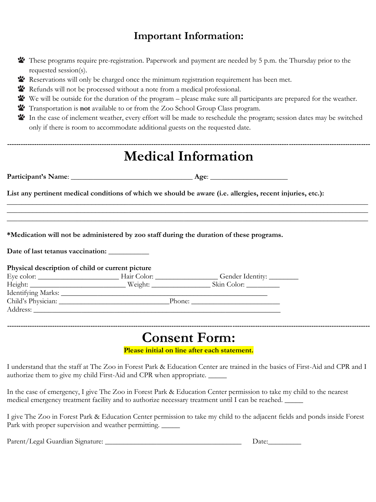### **Important Information:**

| These programs require pre-registration. Paperwork and payment are needed by 5 p.m. the Thursday prior to the |  |  |  |
|---------------------------------------------------------------------------------------------------------------|--|--|--|
| requested session(s).                                                                                         |  |  |  |

- Reservations will only be charged once the minimum registration requirement has been met.
- Refunds will not be processed without a note from a medical professional.
- We will be outside for the duration of the program please make sure all participants are prepared for the weather.
- Transportation is **not** available to or from the Zoo School Group Class program.
- In the case of inclement weather, every effort will be made to reschedule the program; session dates may be switched only if there is room to accommodate additional guests on the requested date.

|                                                  |                                                                                                                  | <b>Medical Information</b>                                                                                 |
|--------------------------------------------------|------------------------------------------------------------------------------------------------------------------|------------------------------------------------------------------------------------------------------------|
|                                                  |                                                                                                                  |                                                                                                            |
|                                                  |                                                                                                                  | List any pertinent medical conditions of which we should be aware (i.e. allergies, recent injuries, etc.): |
|                                                  | and the control of the control of the control of the control of the control of the control of the control of the | ,我们也不能在这里的时候,我们也不能在这里的时候,我们也不能会在这里的时候,我们也不能会在这里的时候,我们也不能会在这里的时候,我们也不能会在这里的时候,我们也不                          |
|                                                  |                                                                                                                  |                                                                                                            |
|                                                  |                                                                                                                  | *Medication will not be administered by zoo staff during the duration of these programs.                   |
|                                                  |                                                                                                                  |                                                                                                            |
| Date of last tetanus vaccination: ___________    |                                                                                                                  |                                                                                                            |
| Physical description of child or current picture |                                                                                                                  |                                                                                                            |
|                                                  |                                                                                                                  |                                                                                                            |
|                                                  |                                                                                                                  |                                                                                                            |
|                                                  |                                                                                                                  |                                                                                                            |

**Please initial on line after each statement.**

I understand that the staff at The Zoo in Forest Park & Education Center are trained in the basics of First-Aid and CPR and I authorize them to give my child First-Aid and CPR when appropriate. \_\_\_\_\_

In the case of emergency, I give The Zoo in Forest Park & Education Center permission to take my child to the nearest medical emergency treatment facility and to authorize necessary treatment until I can be reached. \_\_\_\_\_

I give The Zoo in Forest Park & Education Center permission to take my child to the adjacent fields and ponds inside Forest Park with proper supervision and weather permitting.

Parent/Legal Guardian Signature: \_\_\_\_\_\_\_\_\_\_\_\_\_\_\_\_\_\_\_\_\_\_\_\_\_\_\_\_\_\_\_\_\_\_\_\_\_ Date:\_\_\_\_\_\_\_\_\_